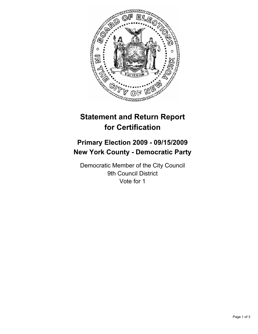

# **Statement and Return Report for Certification**

## **Primary Election 2009 - 09/15/2009 New York County - Democratic Party**

Democratic Member of the City Council 9th Council District Vote for 1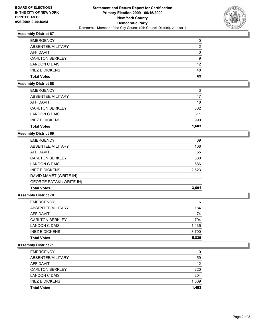

## **Assembly District 67**

| <b>EMERGENCY</b>       | 0  |
|------------------------|----|
| ABSENTEE/MILITARY      | 2  |
| AFFIDAVIT              | 0  |
| <b>CARLTON BERKLEY</b> | 9  |
| LANDON C DAIS          | 12 |
| <b>INEZ E DICKENS</b>  | 48 |
| <b>Total Votes</b>     | 69 |

#### **Assembly District 68**

| <b>EMERGENCY</b>       | 3     |
|------------------------|-------|
| ABSENTEE/MILITARY      | 47    |
| <b>AFFIDAVIT</b>       | 18    |
| <b>CARLTON BERKLEY</b> | 302   |
| LANDON C DAIS          | 311   |
| <b>INEZ E DICKENS</b>  | 990   |
| <b>Total Votes</b>     | 1.603 |

#### **Assembly District 69**

| <b>GEORGE PATAKI (WRITE-IN)</b><br><b>Total Votes</b> | 3,691 |
|-------------------------------------------------------|-------|
|                                                       |       |
| DAVID MAMET (WRITE-IN)                                |       |
| <b>INEZ E DICKENS</b>                                 | 2,623 |
| LANDON C DAIS                                         | 686   |
| <b>CARLTON BERKLEY</b>                                | 380   |
| <b>AFFIDAVIT</b>                                      | 55    |
| ABSENTEE/MILITARY                                     | 108   |
| <b>EMERGENCY</b>                                      | 69    |

## **Assembly District 70**

| <b>EMERGENCY</b>       | 6     |
|------------------------|-------|
| ABSENTEE/MILITARY      | 184   |
| AFFIDAVIT              | 74    |
| <b>CARLTON BERKLEY</b> | 704   |
| LANDON C DAIS          | 1,435 |
| <b>INEZ E DICKENS</b>  | 3,700 |
| <b>Total Votes</b>     | 5.839 |

## **Assembly District 71**

| <b>Total Votes</b>     | 1.493 |
|------------------------|-------|
| <b>INEZ E DICKENS</b>  | 1,069 |
| LANDON C DAIS          | 204   |
| <b>CARLTON BERKLEY</b> | 220   |
| AFFIDAVIT              | 12    |
| ABSENTEE/MILITARY      | 59    |
| <b>EMERGENCY</b>       | 0     |